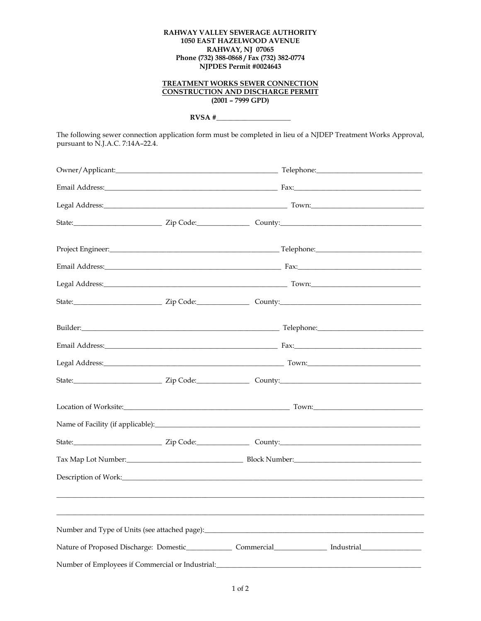## RAHWAY VALLEY SEWERAGE AUTHORITY 1050 EAST HAZELWOOD AVENUE **RAHWAY, NJ 07065** Phone (732) 388-0868 / Fax (732) 382-0774<br>NJPDES Permit #0024643

## **TREATMENT WORKS SEWER CONNECTION CONSTRUCTION AND DISCHARGE PERMIT**  $(2001 - 7999 GPD)$

 $RVSA#$ 

The following sewer connection application form must be completed in lieu of a NJDEP Treatment Works Approval, pursuant to N.J.A.C. 7:14A-22.4.

|                                                  |  | Builder: Telephone: Telephone: Telephone: Telephone: Telephone: Telephone: Telephone: Telephone: Telephone: Telephone: Telephone: Telephone: Telephone: Telephone: Telephone: Telephone: Telephone: Telephone: Telephone: Tele |  |
|--------------------------------------------------|--|--------------------------------------------------------------------------------------------------------------------------------------------------------------------------------------------------------------------------------|--|
|                                                  |  |                                                                                                                                                                                                                                |  |
|                                                  |  |                                                                                                                                                                                                                                |  |
|                                                  |  |                                                                                                                                                                                                                                |  |
|                                                  |  |                                                                                                                                                                                                                                |  |
|                                                  |  |                                                                                                                                                                                                                                |  |
|                                                  |  |                                                                                                                                                                                                                                |  |
|                                                  |  |                                                                                                                                                                                                                                |  |
|                                                  |  |                                                                                                                                                                                                                                |  |
|                                                  |  |                                                                                                                                                                                                                                |  |
|                                                  |  |                                                                                                                                                                                                                                |  |
|                                                  |  |                                                                                                                                                                                                                                |  |
| Number of Employees if Commercial or Industrial: |  |                                                                                                                                                                                                                                |  |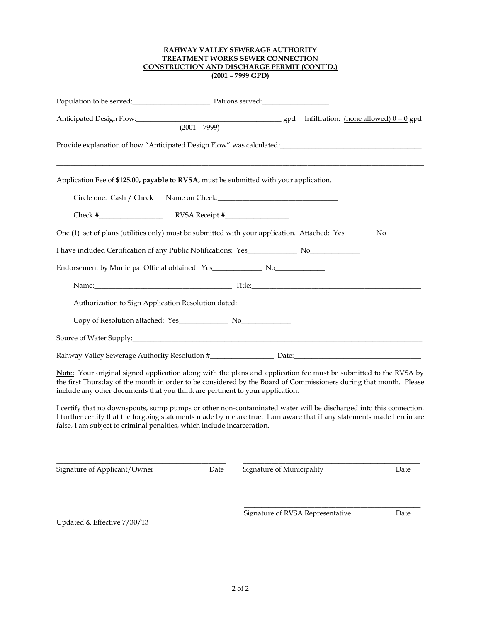## **RAHWAY VALLEY SEWERAGE AUTHORITY TREATMENT WORKS SEWER CONNECTION CONSTRUCTION AND DISCHARGE PERMIT (CONT'D.) (2001 – 7999 GPD)**

| Population to be served:<br><u>Patrons served:</u><br>Patrons served:<br>Patrons served:<br>Patrons served:<br>Patrons served:<br>Patrons served:<br>Patrons served:<br>Patrons served:<br>Patrons served:<br>Patrons served:<br>Patrons served                                                                        |
|------------------------------------------------------------------------------------------------------------------------------------------------------------------------------------------------------------------------------------------------------------------------------------------------------------------------|
| $(2001 - 7999)$                                                                                                                                                                                                                                                                                                        |
| Provide explanation of how "Anticipated Design Flow" was calculated: _______________________________                                                                                                                                                                                                                   |
| Application Fee of \$125.00, payable to RVSA, must be submitted with your application.                                                                                                                                                                                                                                 |
| Circle one: Cash / Check Name on Check:                                                                                                                                                                                                                                                                                |
|                                                                                                                                                                                                                                                                                                                        |
| One (1) set of plans (utilities only) must be submitted with your application. Attached: Yes________ No_________                                                                                                                                                                                                       |
|                                                                                                                                                                                                                                                                                                                        |
|                                                                                                                                                                                                                                                                                                                        |
| Name: Title: Title: Title: Title: Title: Title: Title: Title: Title: Title: Title: Title: Title: Title: Title: Title: Title: Title: Title: Title: Title: Title: Title: Title: Title: Title: Title: Title: Title: Title: Title:                                                                                         |
| Authorization to Sign Application Resolution dated: ____________________________                                                                                                                                                                                                                                       |
|                                                                                                                                                                                                                                                                                                                        |
|                                                                                                                                                                                                                                                                                                                        |
|                                                                                                                                                                                                                                                                                                                        |
| Note: Your original signed application along with the plans and application fee must be submitted to the RVSA by<br>the first Thursday of the month in order to be considered by the Board of Commissioners during that month. Please<br>include any other documents that you think are pertinent to your application. |

I certify that no downspouts, sump pumps or other non-contaminated water will be discharged into this connection. I further certify that the forgoing statements made by me are true. I am aware that if any statements made herein are false, I am subject to criminal penalties, which include incarceration.

Signature of Applicant/Owner Date Signature of Municipality Date Date

 $\Box$ 

Updated & Effective 7/30/13

Signature of RVSA Representative Date

\_\_\_\_\_\_\_\_\_\_\_\_\_\_\_\_\_\_\_\_\_\_\_\_\_\_\_\_\_\_\_\_\_\_\_\_\_\_\_\_\_\_\_\_\_\_\_\_\_\_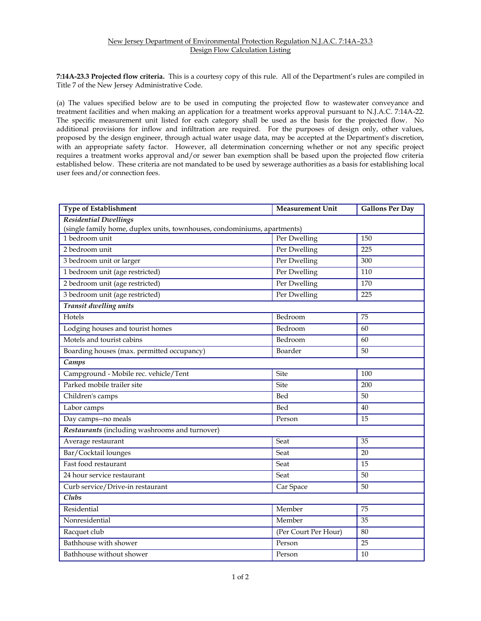## New Jersey Department of Environmental Protection Regulation N.J.A.C. 7:14A–23.3 Design Flow Calculation Listing

**7:14A-23.3 Projected flow criteria.** This is a courtesy copy of this rule. All of the Department's rules are compiled in Title 7 of the New Jersey Administrative Code.

(a) The values specified below are to be used in computing the projected flow to wastewater conveyance and treatment facilities and when making an application for a treatment works approval pursuant to N.J.A.C. 7:14A-22. The specific measurement unit listed for each category shall be used as the basis for the projected flow. No additional provisions for inflow and infiltration are required. For the purposes of design only, other values, proposed by the design engineer, through actual water usage data, may be accepted at the Department's discretion, with an appropriate safety factor. However, all determination concerning whether or not any specific project requires a treatment works approval and/or sewer ban exemption shall be based upon the projected flow criteria established below. These criteria are not mandated to be used by sewerage authorities as a basis for establishing local user fees and/or connection fees.

| <b>Type of Establishment</b>                                             | <b>Measurement Unit</b> | <b>Gallons Per Day</b> |  |  |  |
|--------------------------------------------------------------------------|-------------------------|------------------------|--|--|--|
| <b>Residential Dwellings</b>                                             |                         |                        |  |  |  |
| (single family home, duplex units, townhouses, condominiums, apartments) |                         |                        |  |  |  |
| 1 bedroom unit                                                           | Per Dwelling            | 150                    |  |  |  |
| 2 bedroom unit                                                           | Per Dwelling            | $\overline{225}$       |  |  |  |
| 3 bedroom unit or larger                                                 | Per Dwelling            | 300                    |  |  |  |
| 1 bedroom unit (age restricted)                                          | Per Dwelling            | 110                    |  |  |  |
| 2 bedroom unit (age restricted)                                          | Per Dwelling            | 170                    |  |  |  |
| 3 bedroom unit (age restricted)                                          | Per Dwelling            | 225                    |  |  |  |
| Transit dwelling units                                                   |                         |                        |  |  |  |
| Hotels                                                                   | Bedroom                 | 75                     |  |  |  |
| Lodging houses and tourist homes                                         | Bedroom                 | 60                     |  |  |  |
| Motels and tourist cabins                                                | Bedroom                 | 60                     |  |  |  |
| Boarding houses (max. permitted occupancy)                               | Boarder                 | 50                     |  |  |  |
| Camps                                                                    |                         |                        |  |  |  |
| Campground - Mobile rec. vehicle/Tent                                    | <b>Site</b>             | 100                    |  |  |  |
| Parked mobile trailer site                                               | Site                    | 200                    |  |  |  |
| Children's camps                                                         | Bed                     | 50                     |  |  |  |
| Labor camps                                                              | Bed                     | 40                     |  |  |  |
| Day camps--no meals                                                      | Person                  | 15                     |  |  |  |
| Restaurants (including washrooms and turnover)                           |                         |                        |  |  |  |
| Average restaurant                                                       | Seat                    | 35                     |  |  |  |
| Bar/Cocktail lounges                                                     | Seat                    | 20                     |  |  |  |
| Fast food restaurant                                                     | Seat                    | 15                     |  |  |  |
| 24 hour service restaurant                                               | Seat                    | 50                     |  |  |  |
| Curb service/Drive-in restaurant                                         | Car Space               | 50                     |  |  |  |
| $\overline{\text{Clubs}}$                                                |                         |                        |  |  |  |
| Residential                                                              | Member                  | 75                     |  |  |  |
| Nonresidential                                                           | Member                  | 35                     |  |  |  |
| Racquet club                                                             | (Per Court Per Hour)    | 80                     |  |  |  |
| Bathhouse with shower                                                    | Person                  | 25                     |  |  |  |
| Bathhouse without shower                                                 | Person                  | 10                     |  |  |  |